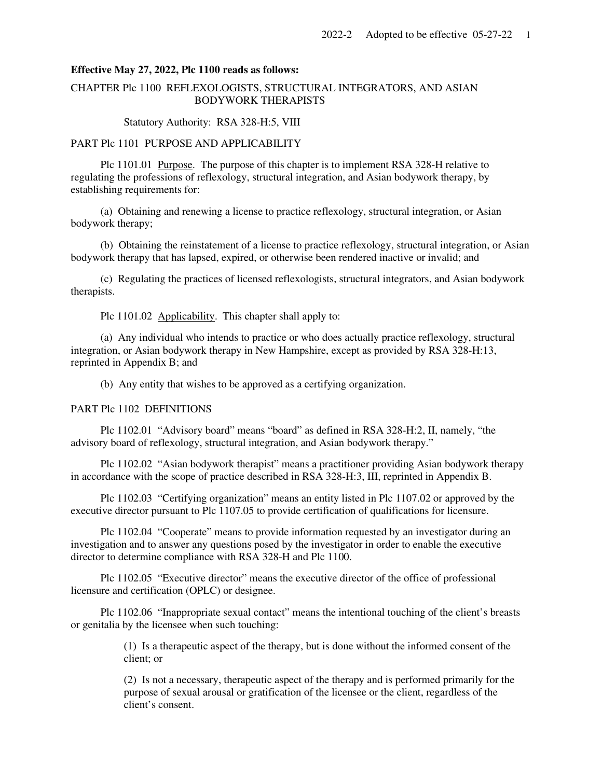#### **Effective May 27, 2022, Plc 1100 reads as follows:**

# CHAPTER Plc 1100 REFLEXOLOGISTS, STRUCTURAL INTEGRATORS, AND ASIAN BODYWORK THERAPISTS

Statutory Authority: RSA 328-H:5, VIII

#### PART Plc 1101 PURPOSE AND APPLICABILITY

 Plc 1101.01 Purpose. The purpose of this chapter is to implement RSA 328-H relative to regulating the professions of reflexology, structural integration, and Asian bodywork therapy, by establishing requirements for:

 (a) Obtaining and renewing a license to practice reflexology, structural integration, or Asian bodywork therapy;

 (b) Obtaining the reinstatement of a license to practice reflexology, structural integration, or Asian bodywork therapy that has lapsed, expired, or otherwise been rendered inactive or invalid; and

 (c) Regulating the practices of licensed reflexologists, structural integrators, and Asian bodywork therapists.

Plc 1101.02 Applicability. This chapter shall apply to:

 (a) Any individual who intends to practice or who does actually practice reflexology, structural integration, or Asian bodywork therapy in New Hampshire, except as provided by RSA 328-H:13, reprinted in Appendix B; and

(b) Any entity that wishes to be approved as a certifying organization.

#### PART Plc 1102 DEFINITIONS

 Plc 1102.01 "Advisory board" means "board" as defined in RSA 328-H:2, II, namely, "the advisory board of reflexology, structural integration, and Asian bodywork therapy."

 Plc 1102.02 "Asian bodywork therapist" means a practitioner providing Asian bodywork therapy in accordance with the scope of practice described in RSA 328-H:3, III, reprinted in Appendix B.

 Plc 1102.03 "Certifying organization" means an entity listed in Plc 1107.02 or approved by the executive director pursuant to Plc 1107.05 to provide certification of qualifications for licensure.

 Plc 1102.04 "Cooperate" means to provide information requested by an investigator during an investigation and to answer any questions posed by the investigator in order to enable the executive director to determine compliance with RSA 328-H and Plc 1100.

 Plc 1102.05 "Executive director" means the executive director of the office of professional licensure and certification (OPLC) or designee.

 Plc 1102.06 "Inappropriate sexual contact" means the intentional touching of the client's breasts or genitalia by the licensee when such touching:

> (1) Is a therapeutic aspect of the therapy, but is done without the informed consent of the client; or

> (2) Is not a necessary, therapeutic aspect of the therapy and is performed primarily for the purpose of sexual arousal or gratification of the licensee or the client, regardless of the client's consent.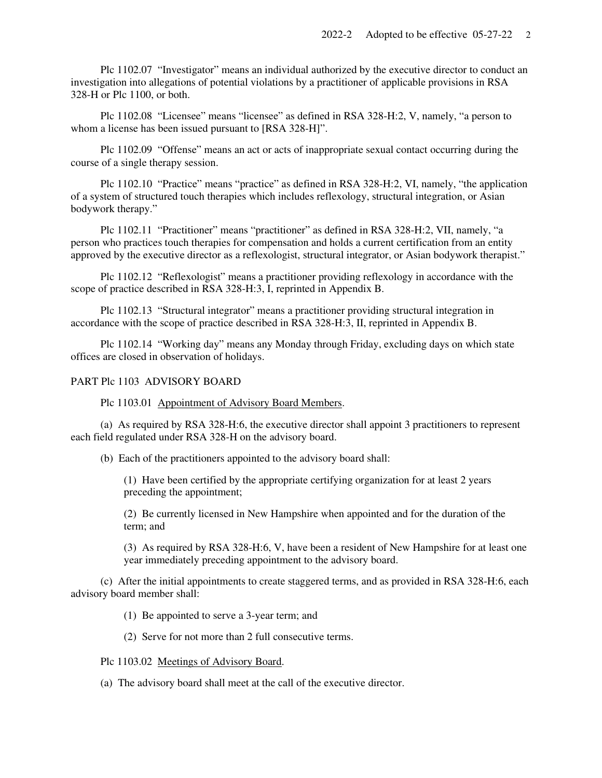Plc 1102.07 "Investigator" means an individual authorized by the executive director to conduct an investigation into allegations of potential violations by a practitioner of applicable provisions in RSA 328-H or Plc 1100, or both.

 Plc 1102.08 "Licensee" means "licensee" as defined in RSA 328-H:2, V, namely, "a person to whom a license has been issued pursuant to [RSA 328-H]".

 Plc 1102.09 "Offense" means an act or acts of inappropriate sexual contact occurring during the course of a single therapy session.

 Plc 1102.10 "Practice" means "practice" as defined in RSA 328-H:2, VI, namely, "the application of a system of structured touch therapies which includes reflexology, structural integration, or Asian bodywork therapy."

 Plc 1102.11 "Practitioner" means "practitioner" as defined in RSA 328-H:2, VII, namely, "a person who practices touch therapies for compensation and holds a current certification from an entity approved by the executive director as a reflexologist, structural integrator, or Asian bodywork therapist."

 Plc 1102.12 "Reflexologist" means a practitioner providing reflexology in accordance with the scope of practice described in RSA 328-H:3, I, reprinted in Appendix B.

 Plc 1102.13 "Structural integrator" means a practitioner providing structural integration in accordance with the scope of practice described in RSA 328-H:3, II, reprinted in Appendix B.

 Plc 1102.14 "Working day" means any Monday through Friday, excluding days on which state offices are closed in observation of holidays.

#### PART Plc 1103 ADVISORY BOARD

Plc 1103.01 Appointment of Advisory Board Members.

 (a) As required by RSA 328-H:6, the executive director shall appoint 3 practitioners to represent each field regulated under RSA 328-H on the advisory board.

(b) Each of the practitioners appointed to the advisory board shall:

(1) Have been certified by the appropriate certifying organization for at least 2 years preceding the appointment;

(2) Be currently licensed in New Hampshire when appointed and for the duration of the term; and

(3) As required by RSA 328-H:6, V, have been a resident of New Hampshire for at least one year immediately preceding appointment to the advisory board.

 (c) After the initial appointments to create staggered terms, and as provided in RSA 328-H:6, each advisory board member shall:

(1) Be appointed to serve a 3-year term; and

(2) Serve for not more than 2 full consecutive terms.

Plc 1103.02 Meetings of Advisory Board.

(a) The advisory board shall meet at the call of the executive director.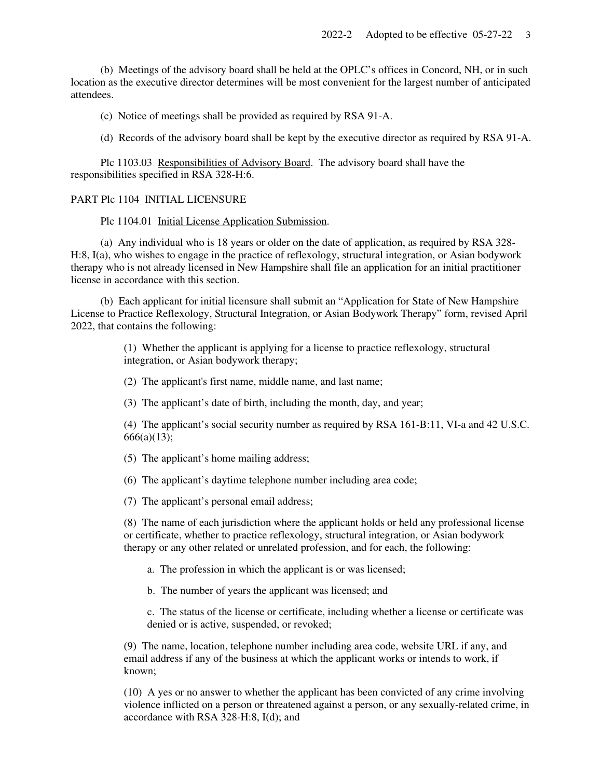(b) Meetings of the advisory board shall be held at the OPLC's offices in Concord, NH, or in such location as the executive director determines will be most convenient for the largest number of anticipated attendees.

(c) Notice of meetings shall be provided as required by RSA 91-A.

(d) Records of the advisory board shall be kept by the executive director as required by RSA 91-A.

 Plc 1103.03 Responsibilities of Advisory Board. The advisory board shall have the responsibilities specified in RSA 328-H:6.

#### PART Plc 1104 INITIAL LICENSURE

Plc 1104.01 Initial License Application Submission.

 (a) Any individual who is 18 years or older on the date of application, as required by RSA 328- H:8, I(a), who wishes to engage in the practice of reflexology, structural integration, or Asian bodywork therapy who is not already licensed in New Hampshire shall file an application for an initial practitioner license in accordance with this section.

 (b) Each applicant for initial licensure shall submit an "Application for State of New Hampshire License to Practice Reflexology, Structural Integration, or Asian Bodywork Therapy" form, revised April 2022, that contains the following:

> (1) Whether the applicant is applying for a license to practice reflexology, structural integration, or Asian bodywork therapy;

(2) The applicant's first name, middle name, and last name;

(3) The applicant's date of birth, including the month, day, and year;

(4) The applicant's social security number as required by RSA 161-B:11, VI-a and 42 U.S.C.  $666(a)(13);$ 

(5) The applicant's home mailing address;

(6) The applicant's daytime telephone number including area code;

(7) The applicant's personal email address;

(8) The name of each jurisdiction where the applicant holds or held any professional license or certificate, whether to practice reflexology, structural integration, or Asian bodywork therapy or any other related or unrelated profession, and for each, the following:

a. The profession in which the applicant is or was licensed;

b. The number of years the applicant was licensed; and

c. The status of the license or certificate, including whether a license or certificate was denied or is active, suspended, or revoked;

(9) The name, location, telephone number including area code, website URL if any, and email address if any of the business at which the applicant works or intends to work, if known;

(10) A yes or no answer to whether the applicant has been convicted of any crime involving violence inflicted on a person or threatened against a person, or any sexually-related crime, in accordance with RSA 328-H:8, I(d); and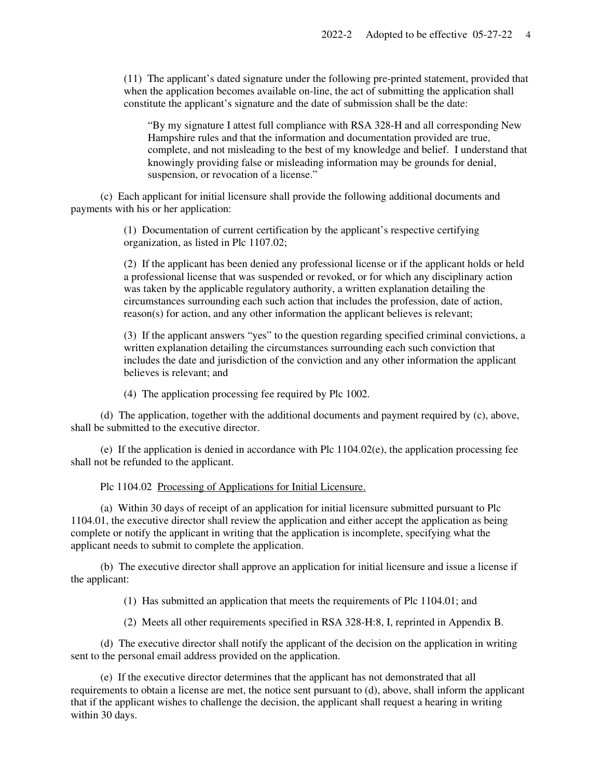(11) The applicant's dated signature under the following pre-printed statement, provided that when the application becomes available on-line, the act of submitting the application shall constitute the applicant's signature and the date of submission shall be the date:

"By my signature I attest full compliance with RSA 328-H and all corresponding New Hampshire rules and that the information and documentation provided are true, complete, and not misleading to the best of my knowledge and belief. I understand that knowingly providing false or misleading information may be grounds for denial, suspension, or revocation of a license."

 (c) Each applicant for initial licensure shall provide the following additional documents and payments with his or her application:

> (1) Documentation of current certification by the applicant's respective certifying organization, as listed in Plc 1107.02;

(2) If the applicant has been denied any professional license or if the applicant holds or held a professional license that was suspended or revoked, or for which any disciplinary action was taken by the applicable regulatory authority, a written explanation detailing the circumstances surrounding each such action that includes the profession, date of action, reason(s) for action, and any other information the applicant believes is relevant;

(3) If the applicant answers "yes" to the question regarding specified criminal convictions, a written explanation detailing the circumstances surrounding each such conviction that includes the date and jurisdiction of the conviction and any other information the applicant believes is relevant; and

(4) The application processing fee required by Plc 1002.

 (d) The application, together with the additional documents and payment required by (c), above, shall be submitted to the executive director.

 (e) If the application is denied in accordance with Plc 1104.02(e), the application processing fee shall not be refunded to the applicant.

Plc 1104.02 Processing of Applications for Initial Licensure.

 (a) Within 30 days of receipt of an application for initial licensure submitted pursuant to Plc 1104.01, the executive director shall review the application and either accept the application as being complete or notify the applicant in writing that the application is incomplete, specifying what the applicant needs to submit to complete the application.

 (b) The executive director shall approve an application for initial licensure and issue a license if the applicant:

(1) Has submitted an application that meets the requirements of Plc 1104.01; and

(2) Meets all other requirements specified in RSA 328-H:8, I, reprinted in Appendix B.

 (d) The executive director shall notify the applicant of the decision on the application in writing sent to the personal email address provided on the application.

 (e) If the executive director determines that the applicant has not demonstrated that all requirements to obtain a license are met, the notice sent pursuant to (d), above, shall inform the applicant that if the applicant wishes to challenge the decision, the applicant shall request a hearing in writing within 30 days.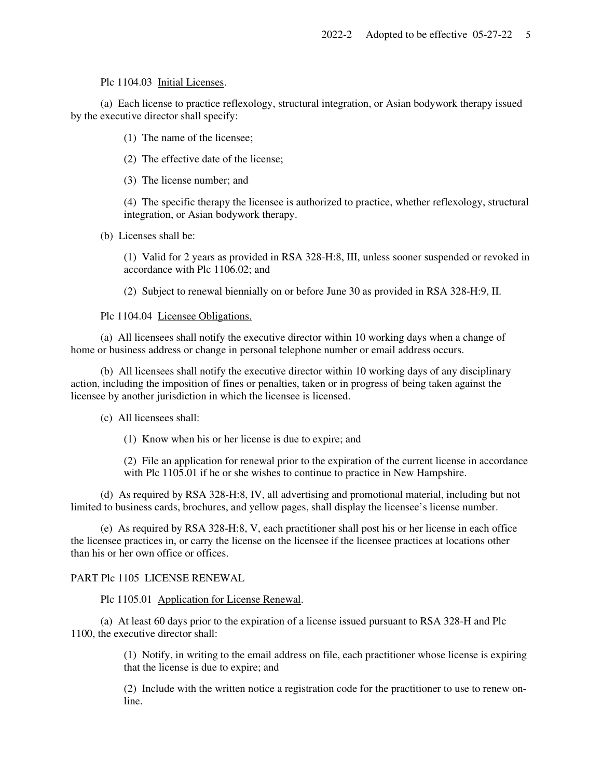Plc 1104.03 Initial Licenses.

 (a) Each license to practice reflexology, structural integration, or Asian bodywork therapy issued by the executive director shall specify:

(1) The name of the licensee;

(2) The effective date of the license;

(3) The license number; and

(4) The specific therapy the licensee is authorized to practice, whether reflexology, structural integration, or Asian bodywork therapy.

(b) Licenses shall be:

(1) Valid for 2 years as provided in RSA 328-H:8, III, unless sooner suspended or revoked in accordance with Plc 1106.02; and

(2) Subject to renewal biennially on or before June 30 as provided in RSA 328-H:9, II.

Plc 1104.04 Licensee Obligations.

 (a) All licensees shall notify the executive director within 10 working days when a change of home or business address or change in personal telephone number or email address occurs.

 (b) All licensees shall notify the executive director within 10 working days of any disciplinary action, including the imposition of fines or penalties, taken or in progress of being taken against the licensee by another jurisdiction in which the licensee is licensed.

(c) All licensees shall:

(1) Know when his or her license is due to expire; and

(2) File an application for renewal prior to the expiration of the current license in accordance with Plc 1105.01 if he or she wishes to continue to practice in New Hampshire.

 (d) As required by RSA 328-H:8, IV, all advertising and promotional material, including but not limited to business cards, brochures, and yellow pages, shall display the licensee's license number.

 (e) As required by RSA 328-H:8, V, each practitioner shall post his or her license in each office the licensee practices in, or carry the license on the licensee if the licensee practices at locations other than his or her own office or offices.

# PART Plc 1105 LICENSE RENEWAL

Plc 1105.01 Application for License Renewal.

 (a) At least 60 days prior to the expiration of a license issued pursuant to RSA 328-H and Plc 1100, the executive director shall:

> (1) Notify, in writing to the email address on file, each practitioner whose license is expiring that the license is due to expire; and

> (2) Include with the written notice a registration code for the practitioner to use to renew online.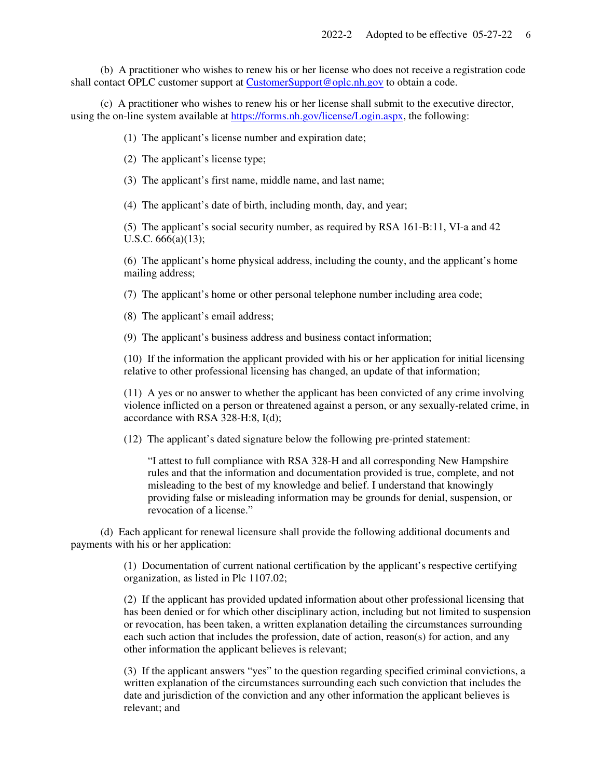(b) A practitioner who wishes to renew his or her license who does not receive a registration code shall contact OPLC customer support at CustomerSupport@oplc.nh.gov to obtain a code.

 (c) A practitioner who wishes to renew his or her license shall submit to the executive director, using the on-line system available at https://forms.nh.gov/license/Login.aspx, the following:

(1) The applicant's license number and expiration date;

(2) The applicant's license type;

(3) The applicant's first name, middle name, and last name;

(4) The applicant's date of birth, including month, day, and year;

(5) The applicant's social security number, as required by RSA 161-B:11, VI-a and 42 U.S.C. 666(a)(13);

(6) The applicant's home physical address, including the county, and the applicant's home mailing address;

(7) The applicant's home or other personal telephone number including area code;

(8) The applicant's email address;

(9) The applicant's business address and business contact information;

(10) If the information the applicant provided with his or her application for initial licensing relative to other professional licensing has changed, an update of that information;

(11) A yes or no answer to whether the applicant has been convicted of any crime involving violence inflicted on a person or threatened against a person, or any sexually-related crime, in accordance with RSA 328-H:8, I(d);

(12) The applicant's dated signature below the following pre-printed statement:

"I attest to full compliance with RSA 328-H and all corresponding New Hampshire rules and that the information and documentation provided is true, complete, and not misleading to the best of my knowledge and belief. I understand that knowingly providing false or misleading information may be grounds for denial, suspension, or revocation of a license."

 (d) Each applicant for renewal licensure shall provide the following additional documents and payments with his or her application:

> (1) Documentation of current national certification by the applicant's respective certifying organization, as listed in Plc 1107.02;

(2) If the applicant has provided updated information about other professional licensing that has been denied or for which other disciplinary action, including but not limited to suspension or revocation, has been taken, a written explanation detailing the circumstances surrounding each such action that includes the profession, date of action, reason(s) for action, and any other information the applicant believes is relevant;

(3) If the applicant answers "yes" to the question regarding specified criminal convictions, a written explanation of the circumstances surrounding each such conviction that includes the date and jurisdiction of the conviction and any other information the applicant believes is relevant; and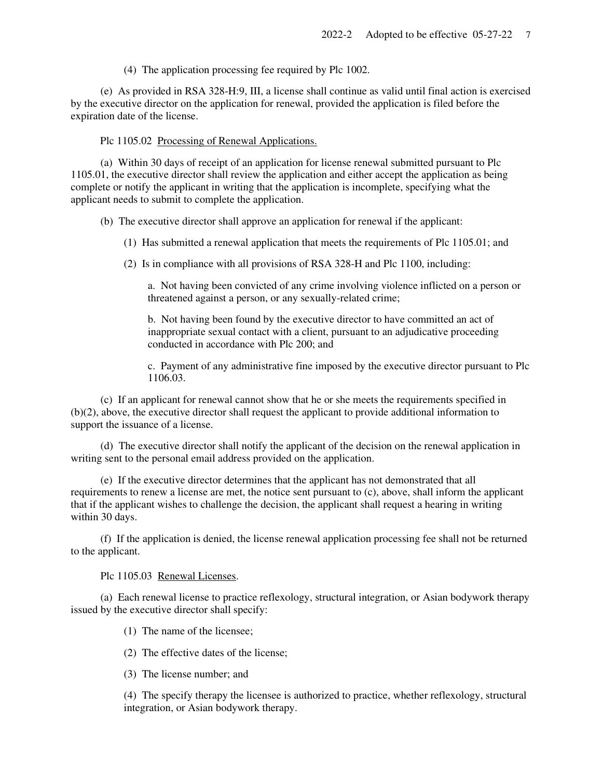(4) The application processing fee required by Plc 1002.

 (e) As provided in RSA 328-H:9, III, a license shall continue as valid until final action is exercised by the executive director on the application for renewal, provided the application is filed before the expiration date of the license.

Plc 1105.02 Processing of Renewal Applications.

 (a) Within 30 days of receipt of an application for license renewal submitted pursuant to Plc 1105.01, the executive director shall review the application and either accept the application as being complete or notify the applicant in writing that the application is incomplete, specifying what the applicant needs to submit to complete the application.

(b) The executive director shall approve an application for renewal if the applicant:

(1) Has submitted a renewal application that meets the requirements of Plc 1105.01; and

(2) Is in compliance with all provisions of RSA 328-H and Plc 1100, including:

a. Not having been convicted of any crime involving violence inflicted on a person or threatened against a person, or any sexually-related crime;

b. Not having been found by the executive director to have committed an act of inappropriate sexual contact with a client, pursuant to an adjudicative proceeding conducted in accordance with Plc 200; and

c. Payment of any administrative fine imposed by the executive director pursuant to Plc 1106.03.

 (c) If an applicant for renewal cannot show that he or she meets the requirements specified in (b)(2), above, the executive director shall request the applicant to provide additional information to support the issuance of a license.

 (d) The executive director shall notify the applicant of the decision on the renewal application in writing sent to the personal email address provided on the application.

 (e) If the executive director determines that the applicant has not demonstrated that all requirements to renew a license are met, the notice sent pursuant to (c), above, shall inform the applicant that if the applicant wishes to challenge the decision, the applicant shall request a hearing in writing within 30 days.

 (f) If the application is denied, the license renewal application processing fee shall not be returned to the applicant.

Plc 1105.03 Renewal Licenses.

 (a) Each renewal license to practice reflexology, structural integration, or Asian bodywork therapy issued by the executive director shall specify:

(1) The name of the licensee;

(2) The effective dates of the license;

(3) The license number; and

(4) The specify therapy the licensee is authorized to practice, whether reflexology, structural integration, or Asian bodywork therapy.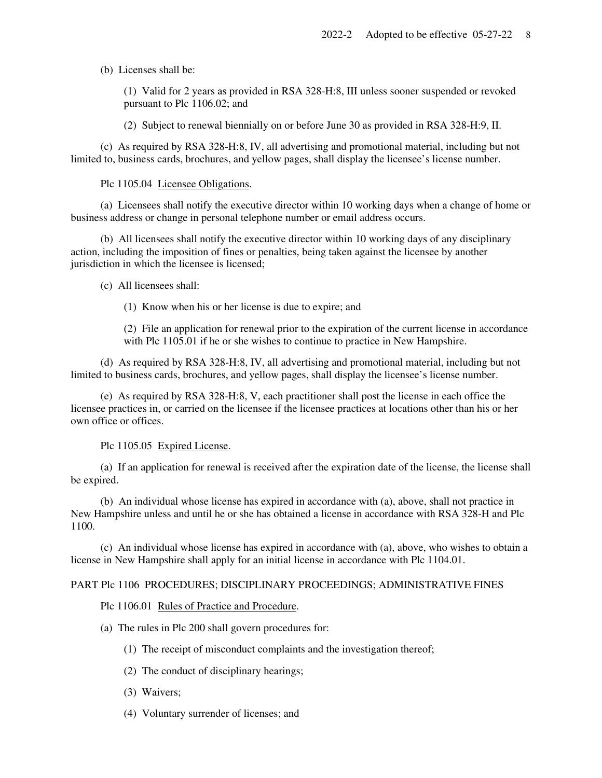(b) Licenses shall be:

(1) Valid for 2 years as provided in RSA 328-H:8, III unless sooner suspended or revoked pursuant to Plc 1106.02; and

(2) Subject to renewal biennially on or before June 30 as provided in RSA 328-H:9, II.

 (c) As required by RSA 328-H:8, IV, all advertising and promotional material, including but not limited to, business cards, brochures, and yellow pages, shall display the licensee's license number.

Plc 1105.04 Licensee Obligations.

 (a) Licensees shall notify the executive director within 10 working days when a change of home or business address or change in personal telephone number or email address occurs.

 (b) All licensees shall notify the executive director within 10 working days of any disciplinary action, including the imposition of fines or penalties, being taken against the licensee by another jurisdiction in which the licensee is licensed;

(c) All licensees shall:

(1) Know when his or her license is due to expire; and

(2) File an application for renewal prior to the expiration of the current license in accordance with Plc 1105.01 if he or she wishes to continue to practice in New Hampshire.

 (d) As required by RSA 328-H:8, IV, all advertising and promotional material, including but not limited to business cards, brochures, and yellow pages, shall display the licensee's license number.

 (e) As required by RSA 328-H:8, V, each practitioner shall post the license in each office the licensee practices in, or carried on the licensee if the licensee practices at locations other than his or her own office or offices.

Plc 1105.05 Expired License.

 (a) If an application for renewal is received after the expiration date of the license, the license shall be expired.

 (b) An individual whose license has expired in accordance with (a), above, shall not practice in New Hampshire unless and until he or she has obtained a license in accordance with RSA 328-H and Plc 1100.

 (c) An individual whose license has expired in accordance with (a), above, who wishes to obtain a license in New Hampshire shall apply for an initial license in accordance with Plc 1104.01.

## PART Plc 1106 PROCEDURES; DISCIPLINARY PROCEEDINGS; ADMINISTRATIVE FINES

Plc 1106.01 Rules of Practice and Procedure.

- (a) The rules in Plc 200 shall govern procedures for:
	- (1) The receipt of misconduct complaints and the investigation thereof;
	- (2) The conduct of disciplinary hearings;
	- (3) Waivers;
	- (4) Voluntary surrender of licenses; and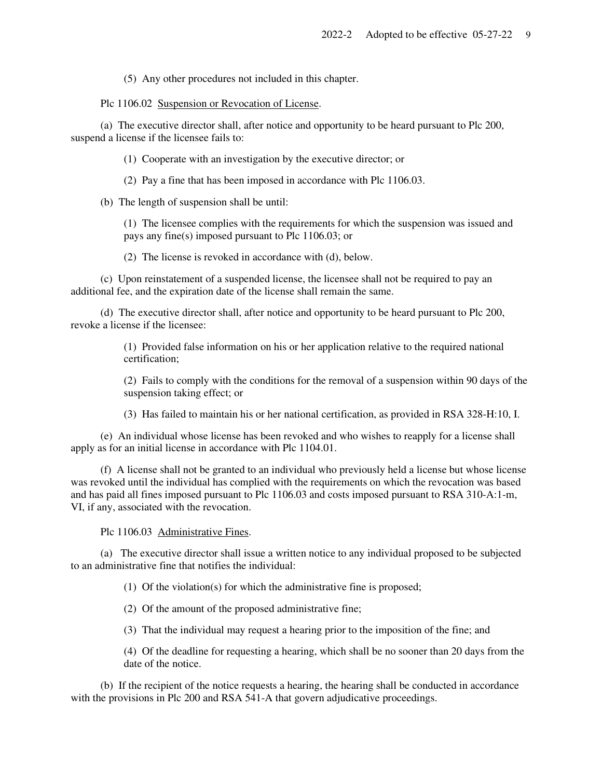(5) Any other procedures not included in this chapter.

Plc 1106.02 Suspension or Revocation of License.

 (a) The executive director shall, after notice and opportunity to be heard pursuant to Plc 200, suspend a license if the licensee fails to:

(1) Cooperate with an investigation by the executive director; or

(2) Pay a fine that has been imposed in accordance with Plc 1106.03.

(b) The length of suspension shall be until:

(1) The licensee complies with the requirements for which the suspension was issued and pays any fine(s) imposed pursuant to Plc 1106.03; or

(2) The license is revoked in accordance with (d), below.

 (c) Upon reinstatement of a suspended license, the licensee shall not be required to pay an additional fee, and the expiration date of the license shall remain the same.

 (d) The executive director shall, after notice and opportunity to be heard pursuant to Plc 200, revoke a license if the licensee:

> (1) Provided false information on his or her application relative to the required national certification;

(2) Fails to comply with the conditions for the removal of a suspension within 90 days of the suspension taking effect; or

(3) Has failed to maintain his or her national certification, as provided in RSA 328-H:10, I.

 (e) An individual whose license has been revoked and who wishes to reapply for a license shall apply as for an initial license in accordance with Plc 1104.01.

 (f) A license shall not be granted to an individual who previously held a license but whose license was revoked until the individual has complied with the requirements on which the revocation was based and has paid all fines imposed pursuant to Plc 1106.03 and costs imposed pursuant to RSA 310-A:1-m, VI, if any, associated with the revocation.

Plc 1106.03 Administrative Fines.

 (a) The executive director shall issue a written notice to any individual proposed to be subjected to an administrative fine that notifies the individual:

(1) Of the violation(s) for which the administrative fine is proposed;

(2) Of the amount of the proposed administrative fine;

(3) That the individual may request a hearing prior to the imposition of the fine; and

(4) Of the deadline for requesting a hearing, which shall be no sooner than 20 days from the date of the notice.

 (b) If the recipient of the notice requests a hearing, the hearing shall be conducted in accordance with the provisions in Plc 200 and RSA 541-A that govern adjudicative proceedings.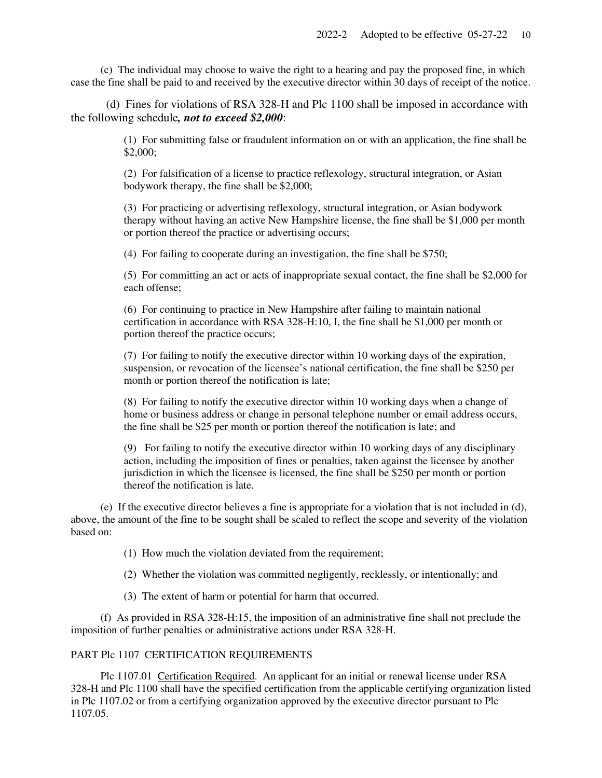(c) The individual may choose to waive the right to a hearing and pay the proposed fine, in which case the fine shall be paid to and received by the executive director within 30 days of receipt of the notice.

 (d) Fines for violations of RSA 328-H and Plc 1100 shall be imposed in accordance with the following schedule*, not to exceed \$2,000*:

> (1) For submitting false or fraudulent information on or with an application, the fine shall be \$2,000;

(2) For falsification of a license to practice reflexology, structural integration, or Asian bodywork therapy, the fine shall be \$2,000;

(3) For practicing or advertising reflexology, structural integration, or Asian bodywork therapy without having an active New Hampshire license, the fine shall be \$1,000 per month or portion thereof the practice or advertising occurs;

(4) For failing to cooperate during an investigation, the fine shall be \$750;

(5) For committing an act or acts of inappropriate sexual contact, the fine shall be \$2,000 for each offense;

(6) For continuing to practice in New Hampshire after failing to maintain national certification in accordance with RSA 328-H:10, I, the fine shall be \$1,000 per month or portion thereof the practice occurs;

(7) For failing to notify the executive director within 10 working days of the expiration, suspension, or revocation of the licensee's national certification, the fine shall be \$250 per month or portion thereof the notification is late;

(8) For failing to notify the executive director within 10 working days when a change of home or business address or change in personal telephone number or email address occurs, the fine shall be \$25 per month or portion thereof the notification is late; and

(9) For failing to notify the executive director within 10 working days of any disciplinary action, including the imposition of fines or penalties, taken against the licensee by another jurisdiction in which the licensee is licensed, the fine shall be \$250 per month or portion thereof the notification is late.

 (e) If the executive director believes a fine is appropriate for a violation that is not included in (d), above, the amount of the fine to be sought shall be scaled to reflect the scope and severity of the violation based on:

(1) How much the violation deviated from the requirement;

(2) Whether the violation was committed negligently, recklessly, or intentionally; and

(3) The extent of harm or potential for harm that occurred.

 (f) As provided in RSA 328-H:15, the imposition of an administrative fine shall not preclude the imposition of further penalties or administrative actions under RSA 328-H.

## PART Plc 1107 CERTIFICATION REQUIREMENTS

 Plc 1107.01 Certification Required. An applicant for an initial or renewal license under RSA 328-H and Plc 1100 shall have the specified certification from the applicable certifying organization listed in Plc 1107.02 or from a certifying organization approved by the executive director pursuant to Plc 1107.05.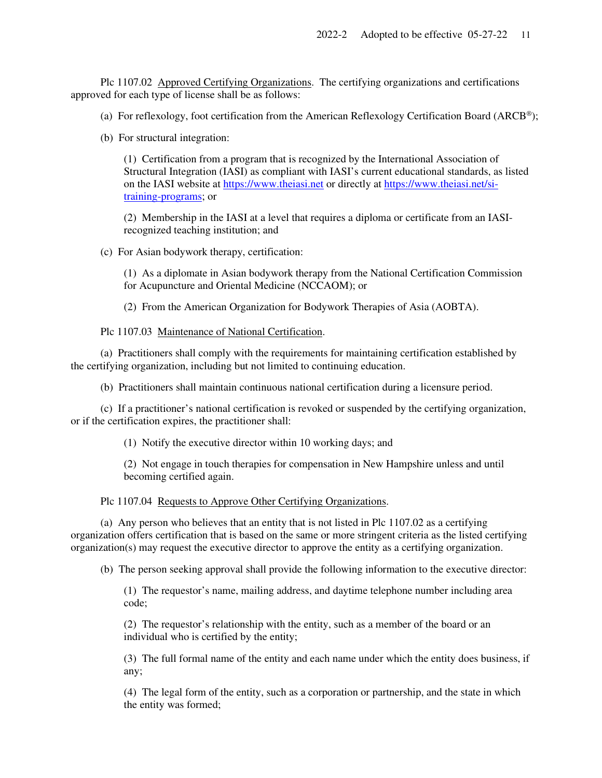Plc 1107.02 Approved Certifying Organizations. The certifying organizations and certifications approved for each type of license shall be as follows:

(a) For reflexology, foot certification from the American Reflexology Certification Board (ARCB<sup>®</sup>);

(b) For structural integration:

(1) Certification from a program that is recognized by the International Association of Structural Integration (IASI) as compliant with IASI's current educational standards, as listed on the IASI website at https://www.theiasi.net or directly at https://www.theiasi.net/sitraining-programs; or

(2) Membership in the IASI at a level that requires a diploma or certificate from an IASIrecognized teaching institution; and

(c) For Asian bodywork therapy, certification:

(1) As a diplomate in Asian bodywork therapy from the National Certification Commission for Acupuncture and Oriental Medicine (NCCAOM); or

(2) From the American Organization for Bodywork Therapies of Asia (AOBTA).

Plc 1107.03 Maintenance of National Certification.

 (a) Practitioners shall comply with the requirements for maintaining certification established by the certifying organization, including but not limited to continuing education.

(b) Practitioners shall maintain continuous national certification during a licensure period.

 (c) If a practitioner's national certification is revoked or suspended by the certifying organization, or if the certification expires, the practitioner shall:

(1) Notify the executive director within 10 working days; and

(2) Not engage in touch therapies for compensation in New Hampshire unless and until becoming certified again.

#### Plc 1107.04 Requests to Approve Other Certifying Organizations.

 (a) Any person who believes that an entity that is not listed in Plc 1107.02 as a certifying organization offers certification that is based on the same or more stringent criteria as the listed certifying organization(s) may request the executive director to approve the entity as a certifying organization.

(b) The person seeking approval shall provide the following information to the executive director:

(1) The requestor's name, mailing address, and daytime telephone number including area code;

(2) The requestor's relationship with the entity, such as a member of the board or an individual who is certified by the entity;

(3) The full formal name of the entity and each name under which the entity does business, if any;

(4) The legal form of the entity, such as a corporation or partnership, and the state in which the entity was formed;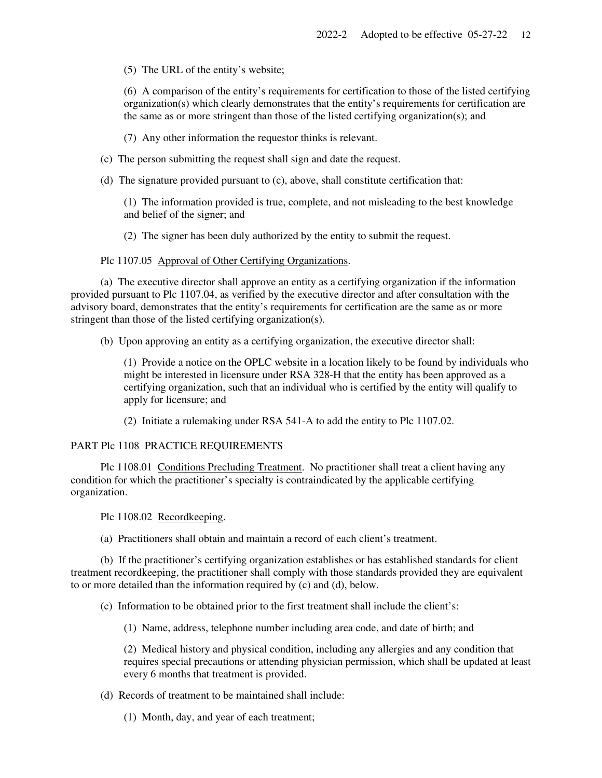(5) The URL of the entity's website;

(6) A comparison of the entity's requirements for certification to those of the listed certifying organization(s) which clearly demonstrates that the entity's requirements for certification are the same as or more stringent than those of the listed certifying organization(s); and

(7) Any other information the requestor thinks is relevant.

(c) The person submitting the request shall sign and date the request.

(d) The signature provided pursuant to (c), above, shall constitute certification that:

(1) The information provided is true, complete, and not misleading to the best knowledge and belief of the signer; and

(2) The signer has been duly authorized by the entity to submit the request.

Plc 1107.05 Approval of Other Certifying Organizations.

 (a) The executive director shall approve an entity as a certifying organization if the information provided pursuant to Plc 1107.04, as verified by the executive director and after consultation with the advisory board, demonstrates that the entity's requirements for certification are the same as or more stringent than those of the listed certifying organization(s).

(b) Upon approving an entity as a certifying organization, the executive director shall:

(1) Provide a notice on the OPLC website in a location likely to be found by individuals who might be interested in licensure under RSA 328-H that the entity has been approved as a certifying organization, such that an individual who is certified by the entity will qualify to apply for licensure; and

(2) Initiate a rulemaking under RSA 541-A to add the entity to Plc 1107.02.

#### PART Plc 1108 PRACTICE REQUIREMENTS

 Plc 1108.01 Conditions Precluding Treatment. No practitioner shall treat a client having any condition for which the practitioner's specialty is contraindicated by the applicable certifying organization.

Plc 1108.02 Recordkeeping.

(a) Practitioners shall obtain and maintain a record of each client's treatment.

 (b) If the practitioner's certifying organization establishes or has established standards for client treatment recordkeeping, the practitioner shall comply with those standards provided they are equivalent to or more detailed than the information required by (c) and (d), below.

(c) Information to be obtained prior to the first treatment shall include the client's:

(1) Name, address, telephone number including area code, and date of birth; and

(2) Medical history and physical condition, including any allergies and any condition that requires special precautions or attending physician permission, which shall be updated at least every 6 months that treatment is provided.

(d) Records of treatment to be maintained shall include:

(1) Month, day, and year of each treatment;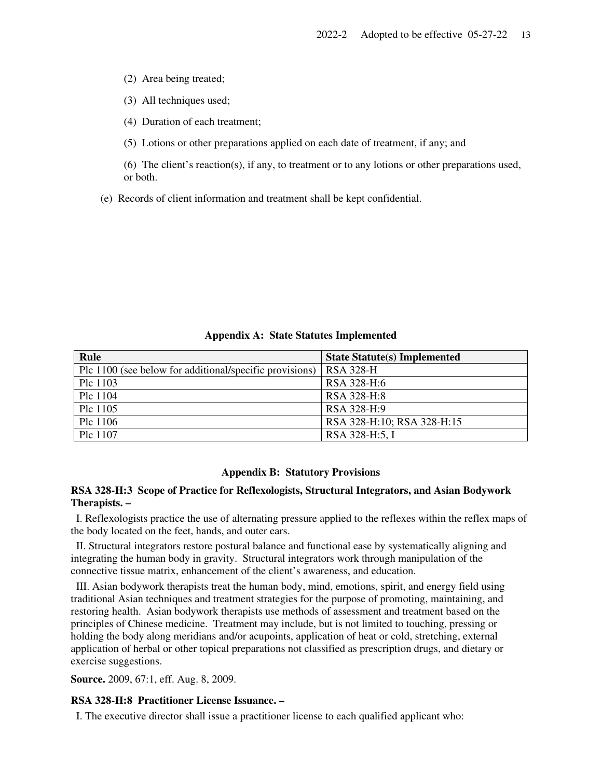(2) Area being treated;

(3) All techniques used;

(4) Duration of each treatment;

(5) Lotions or other preparations applied on each date of treatment, if any; and

(6) The client's reaction(s), if any, to treatment or to any lotions or other preparations used, or both.

(e) Records of client information and treatment shall be kept confidential.

# **Rule State Statute(s) Implemented State Statute(s) Implemented** Plc 1100 (see below for additional/specific provisions) RSA 328-H Plc 1103 RSA 328-H:6 Plc 1104 RSA 328-H:8 Plc 1105 RSA 328-H:9

Plc 1106 RSA 328-H:10; RSA 328-H:15

Plc 1107 RSA 328-H:5, I

#### **Appendix A: State Statutes Implemented**

#### **Appendix B: Statutory Provisions**

# **RSA 328-H:3 Scope of Practice for Reflexologists, Structural Integrators, and Asian Bodywork Therapists. –**

 I. Reflexologists practice the use of alternating pressure applied to the reflexes within the reflex maps of the body located on the feet, hands, and outer ears.

 II. Structural integrators restore postural balance and functional ease by systematically aligning and integrating the human body in gravity. Structural integrators work through manipulation of the connective tissue matrix, enhancement of the client's awareness, and education.

 III. Asian bodywork therapists treat the human body, mind, emotions, spirit, and energy field using traditional Asian techniques and treatment strategies for the purpose of promoting, maintaining, and restoring health. Asian bodywork therapists use methods of assessment and treatment based on the principles of Chinese medicine. Treatment may include, but is not limited to touching, pressing or holding the body along meridians and/or acupoints, application of heat or cold, stretching, external application of herbal or other topical preparations not classified as prescription drugs, and dietary or exercise suggestions.

**Source.** 2009, 67:1, eff. Aug. 8, 2009.

### **RSA 328-H:8 Practitioner License Issuance. –**

I. The executive director shall issue a practitioner license to each qualified applicant who: